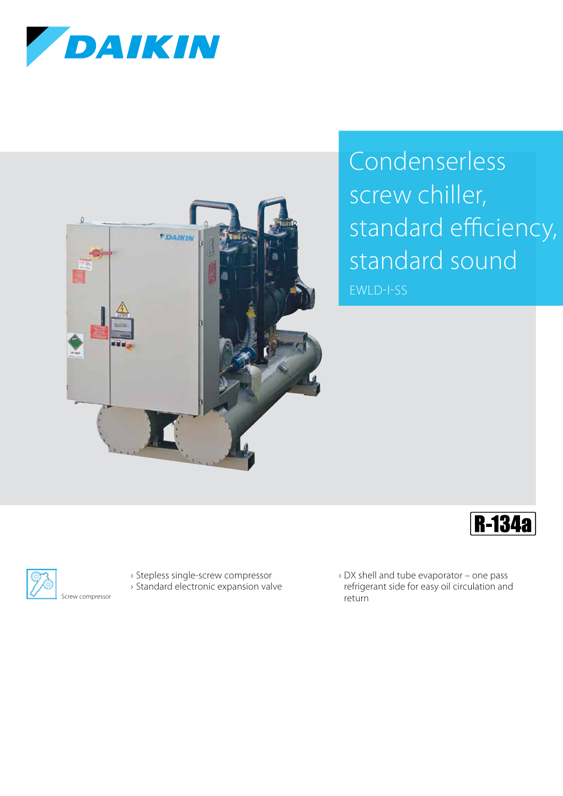



## Condenserless screw chiller, standard efficiency, standard sound

EWLD-I-SS





- › Stepless single-screw compressor
- › Standard electronic expansion valve
- › DX shell and tube evaporator one pass refrigerant side for easy oil circulation and return